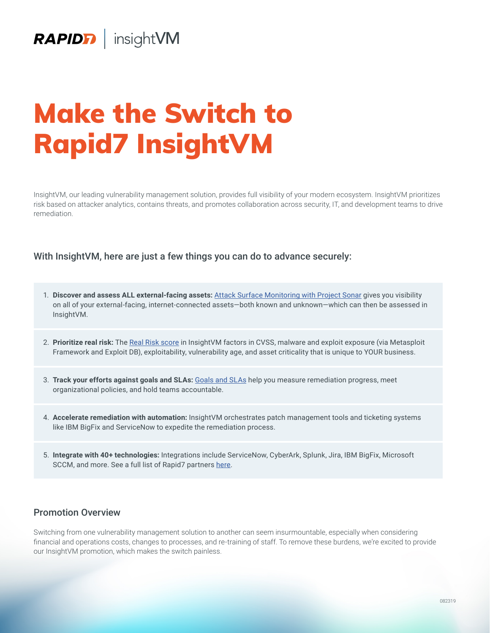# Make the Switch to Rapid7 InsightVM

InsightVM, our leading vulnerability management solution, provides full visibility of your modern ecosystem. InsightVM prioritizes risk based on attacker analytics, contains threats, and promotes collaboration across security, IT, and development teams to drive remediation.

## With InsightVM, here are just a few things you can do to advance securely:

- 1. **Discover and assess ALL external-facing assets:** [Attack Surface Monitoring with Project Sonar](https://www.rapid7.com/products/insightvm/features/attack-surface-monitoring) gives you visibility on all of your external-facing, internet-connected assets—both known and unknown—which can then be assessed in InsightVM.
- 2. **Prioritize real risk:** The [Real Risk score](https://www.rapid7.com/products/insightvm/features/real-risk-prioritization/) in InsightVM factors in CVSS, malware and exploit exposure (via Metasploit Framework and Exploit DB), exploitability, vulnerability age, and asset criticality that is unique to YOUR business.
- 3. **Track your efforts against goals and SLAs:** [Goals and SLAs](https://www.rapid7.com/products/insightvm/features/goals-slas/) help you measure remediation progress, meet organizational policies, and hold teams accountable.
- 4. **Accelerate remediation with automation:** InsightVM orchestrates patch management tools and ticketing systems like IBM BigFix and ServiceNow to expedite the remediation process.
- 5. **Integrate with 40+ technologies:** Integrations include ServiceNow, CyberArk, Splunk, Jira, IBM BigFix, Microsoft SCCM, and more. See a full list of Rapid7 partners [here](https://www.rapid7.com/partners/technology-partners/).

## Promotion Overview

Switching from one vulnerability management solution to another can seem insurmountable, especially when considering financial and operations costs, changes to processes, and re-training of staff. To remove these burdens, we're excited to provide our InsightVM promotion, which makes the switch painless.